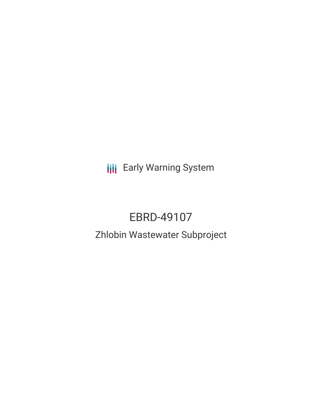**III** Early Warning System

# EBRD-49107

# Zhlobin Wastewater Subproject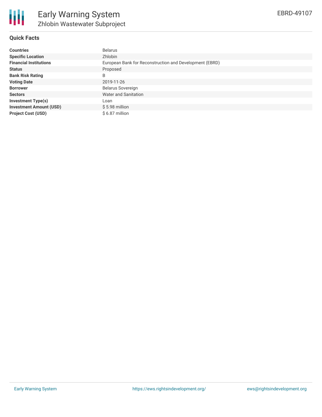

# **Quick Facts**

| <b>Countries</b>               | Belarus                                                 |
|--------------------------------|---------------------------------------------------------|
| <b>Specific Location</b>       | Zhlobin                                                 |
| <b>Financial Institutions</b>  | European Bank for Reconstruction and Development (EBRD) |
| <b>Status</b>                  | Proposed                                                |
| <b>Bank Risk Rating</b>        | B                                                       |
| <b>Voting Date</b>             | 2019-11-26                                              |
| <b>Borrower</b>                | Belarus Sovereign                                       |
| <b>Sectors</b>                 | Water and Sanitation                                    |
| <b>Investment Type(s)</b>      | Loan                                                    |
| <b>Investment Amount (USD)</b> | $$5.98$ million                                         |
| <b>Project Cost (USD)</b>      | \$6.87 million                                          |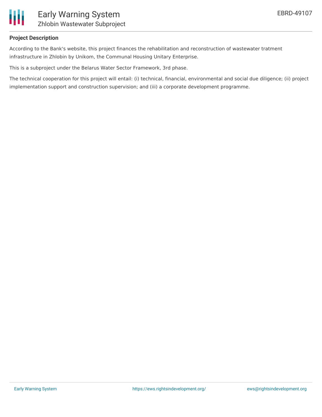

#### **Project Description**

According to the Bank's website, this project finances the rehabilitation and reconstruction of wastewater tratment infrastructure in Zhlobin by Unikom, the Communal Housing Unitary Enterprise.

This is a subproject under the Belarus Water Sector Framework, 3rd phase.

The technical cooperation for this project will entail: (i) technical, financial, environmental and social due diligence; (ii) project implementation support and construction supervision; and (iii) a corporate development programme.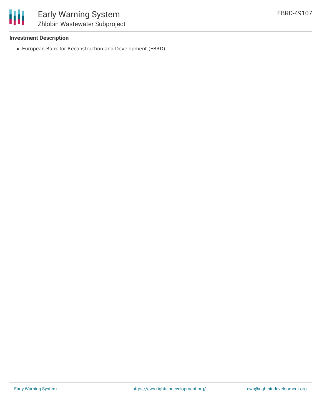

#### **Investment Description**

European Bank for Reconstruction and Development (EBRD)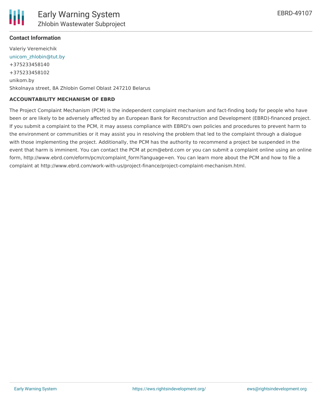# **Contact Information**

Valeriy Veremeichik [unicom\\_zhlobin@tut.by](mailto:unicom_zhlobin@tut.by) +375233458140 +375233458102 unikom.by Shkolnaya street, 8A Zhlobin Gomel Oblast 247210 Belarus

#### **ACCOUNTABILITY MECHANISM OF EBRD**

The Project Complaint Mechanism (PCM) is the independent complaint mechanism and fact-finding body for people who have been or are likely to be adversely affected by an European Bank for Reconstruction and Development (EBRD)-financed project. If you submit a complaint to the PCM, it may assess compliance with EBRD's own policies and procedures to prevent harm to the environment or communities or it may assist you in resolving the problem that led to the complaint through a dialogue with those implementing the project. Additionally, the PCM has the authority to recommend a project be suspended in the event that harm is imminent. You can contact the PCM at pcm@ebrd.com or you can submit a complaint online using an online form, http://www.ebrd.com/eform/pcm/complaint\_form?language=en. You can learn more about the PCM and how to file a complaint at http://www.ebrd.com/work-with-us/project-finance/project-complaint-mechanism.html.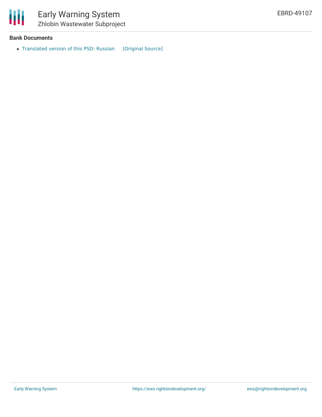

## **Bank Documents**

• [Translated](https://ewsdata.rightsindevelopment.org/files/documents/07/EBRD-49107.pdf) version of this PSD: Russian [\[Original](https://www.ebrd.com/cs/Satellite?c=Content&cid=1395285350404&d=&pagename=EBRD%2FContent%2FDownloadDocument) Source]